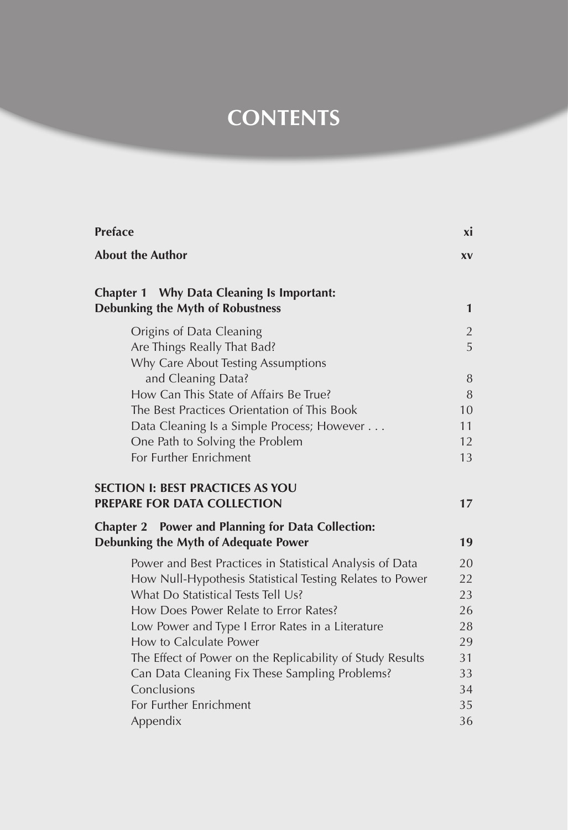## **CONTENTS**

| <b>Preface</b>                                                                       | xi        |
|--------------------------------------------------------------------------------------|-----------|
| <b>About the Author</b>                                                              | <b>XV</b> |
| Chapter 1 Why Data Cleaning Is Important:<br><b>Debunking the Myth of Robustness</b> | 1         |
|                                                                                      |           |
| Origins of Data Cleaning                                                             | 2         |
| Are Things Really That Bad?                                                          | 5         |
| Why Care About Testing Assumptions                                                   | 8         |
| and Cleaning Data?<br>How Can This State of Affairs Be True?                         | 8         |
| The Best Practices Orientation of This Book                                          | 10        |
| Data Cleaning Is a Simple Process; However                                           | 11        |
| One Path to Solving the Problem                                                      | 12        |
| For Further Enrichment                                                               | 13        |
|                                                                                      |           |
| <b>SECTION I: BEST PRACTICES AS YOU</b>                                              |           |
| PREPARE FOR DATA COLLECTION                                                          | 17        |
| <b>Chapter 2</b> Power and Planning for Data Collection:                             |           |
| Debunking the Myth of Adequate Power                                                 | 19        |
| Power and Best Practices in Statistical Analysis of Data                             | 20        |
| How Null-Hypothesis Statistical Testing Relates to Power                             | 22        |
| What Do Statistical Tests Tell Us?                                                   | 23        |
| How Does Power Relate to Error Rates?                                                | 26        |
| Low Power and Type I Error Rates in a Literature                                     | 28        |
| How to Calculate Power                                                               | 29        |
| The Effect of Power on the Replicability of Study Results                            | 31        |
| Can Data Cleaning Fix These Sampling Problems?                                       | 33        |
| Conclusions                                                                          | 34        |
| For Further Enrichment                                                               | 35        |
| Appendix                                                                             | 36        |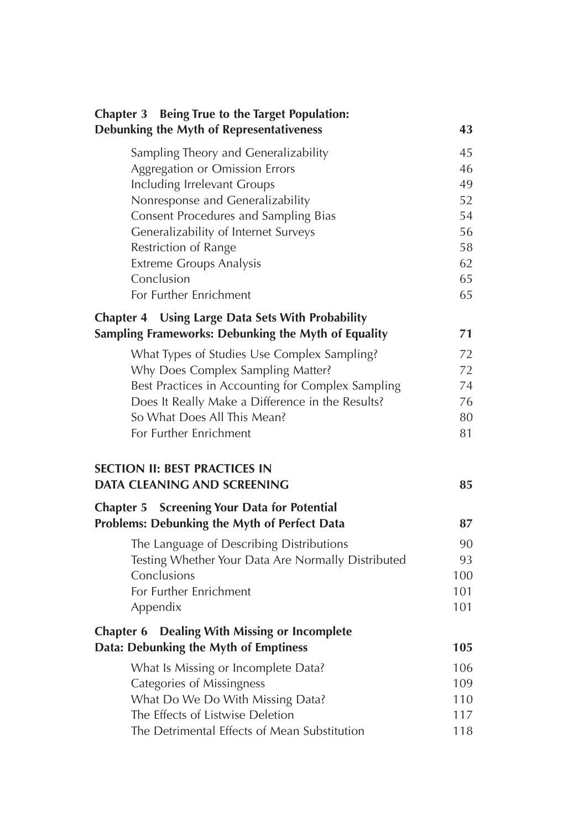| Chapter 3 Being True to the Target Population:<br>Debunking the Myth of Representativeness              | 43       |
|---------------------------------------------------------------------------------------------------------|----------|
| Sampling Theory and Generalizability                                                                    | 45       |
| Aggregation or Omission Errors                                                                          | 46       |
| Including Irrelevant Groups                                                                             | 49       |
| Nonresponse and Generalizability                                                                        | 52       |
| Consent Procedures and Sampling Bias                                                                    | 54       |
| Generalizability of Internet Surveys                                                                    | 56       |
| Restriction of Range                                                                                    | 58       |
| <b>Extreme Groups Analysis</b>                                                                          | 62       |
| Conclusion                                                                                              | 65       |
| For Further Enrichment                                                                                  | 65       |
| Chapter 4 Using Large Data Sets With Probability<br>Sampling Frameworks: Debunking the Myth of Equality | 71       |
|                                                                                                         |          |
| What Types of Studies Use Complex Sampling?                                                             | 72       |
| Why Does Complex Sampling Matter?<br>Best Practices in Accounting for Complex Sampling                  | 72<br>74 |
| Does It Really Make a Difference in the Results?                                                        | 76       |
| So What Does All This Mean?                                                                             | 80       |
| For Further Enrichment                                                                                  | 81       |
| <b>SECTION II: BEST PRACTICES IN</b><br>DATA CLEANING AND SCREENING                                     | 85       |
| <b>Screening Your Data for Potential</b><br>Chapter 5                                                   |          |
| Problems: Debunking the Myth of Perfect Data                                                            | 87       |
| The Language of Describing Distributions                                                                | 90       |
| Testing Whether Your Data Are Normally Distributed                                                      | 93       |
| Conclusions                                                                                             | 100      |
| For Further Enrichment                                                                                  | 101      |
| Appendix                                                                                                | 101      |
| <b>Dealing With Missing or Incomplete</b><br><b>Chapter 6</b>                                           |          |
| Data: Debunking the Myth of Emptiness                                                                   | 105      |
| What Is Missing or Incomplete Data?                                                                     | 106      |
| Categories of Missingness                                                                               | 109      |
| What Do We Do With Missing Data?                                                                        | 110      |
| The Effects of Listwise Deletion                                                                        | 117      |
| The Detrimental Effects of Mean Substitution                                                            | 118      |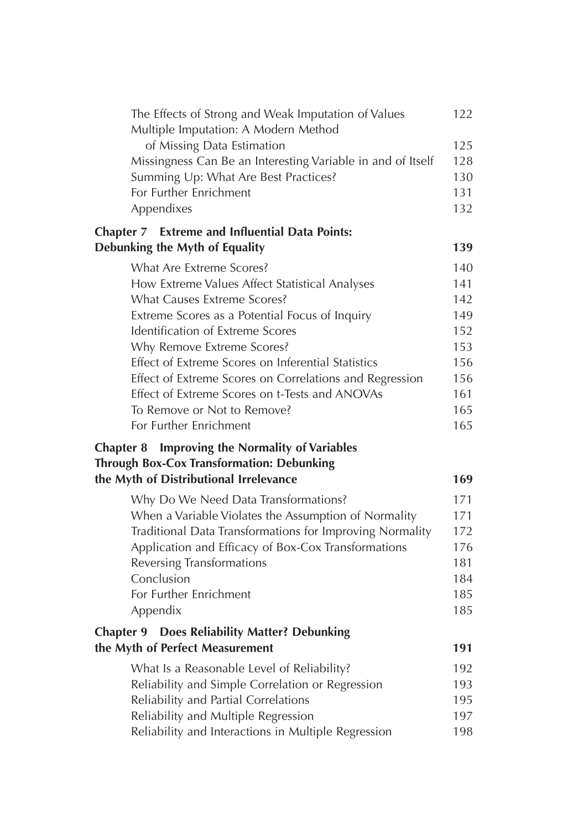| The Effects of Strong and Weak Imputation of Values<br>Multiple Imputation: A Modern Method                  | 122 |
|--------------------------------------------------------------------------------------------------------------|-----|
| of Missing Data Estimation                                                                                   | 125 |
| Missingness Can Be an Interesting Variable in and of Itself                                                  | 128 |
| Summing Up: What Are Best Practices?                                                                         | 130 |
| For Further Enrichment                                                                                       | 131 |
| Appendixes                                                                                                   | 132 |
| <b>Chapter 7</b> Extreme and Influential Data Points:                                                        |     |
| Debunking the Myth of Equality                                                                               | 139 |
| What Are Extreme Scores?                                                                                     | 140 |
| How Extreme Values Affect Statistical Analyses                                                               | 141 |
| What Causes Extreme Scores?                                                                                  | 142 |
| Extreme Scores as a Potential Focus of Inquiry                                                               | 149 |
| Identification of Extreme Scores                                                                             | 152 |
| Why Remove Extreme Scores?                                                                                   | 153 |
| Effect of Extreme Scores on Inferential Statistics                                                           | 156 |
| Effect of Extreme Scores on Correlations and Regression                                                      | 156 |
| Effect of Extreme Scores on t-Tests and ANOVAs                                                               | 161 |
| To Remove or Not to Remove?                                                                                  | 165 |
| For Further Enrichment                                                                                       | 165 |
| <b>Improving the Normality of Variables</b><br>Chapter 8<br><b>Through Box-Cox Transformation: Debunking</b> |     |
| the Myth of Distributional Irrelevance                                                                       | 169 |
| Why Do We Need Data Transformations?                                                                         | 171 |
| When a Variable Violates the Assumption of Normality                                                         | 171 |
| Traditional Data Transformations for Improving Normality                                                     | 172 |
| Application and Efficacy of Box-Cox Transformations                                                          | 176 |
| <b>Reversing Transformations</b>                                                                             | 181 |
| Conclusion                                                                                                   | 184 |
| For Further Enrichment                                                                                       | 185 |
| Appendix                                                                                                     | 185 |
| <b>Chapter 9 Does Reliability Matter? Debunking</b>                                                          |     |
| the Myth of Perfect Measurement                                                                              | 191 |
| What Is a Reasonable Level of Reliability?                                                                   | 192 |
| Reliability and Simple Correlation or Regression                                                             | 193 |
| Reliability and Partial Correlations                                                                         | 195 |
| Reliability and Multiple Regression                                                                          | 197 |
| Reliability and Interactions in Multiple Regression                                                          | 198 |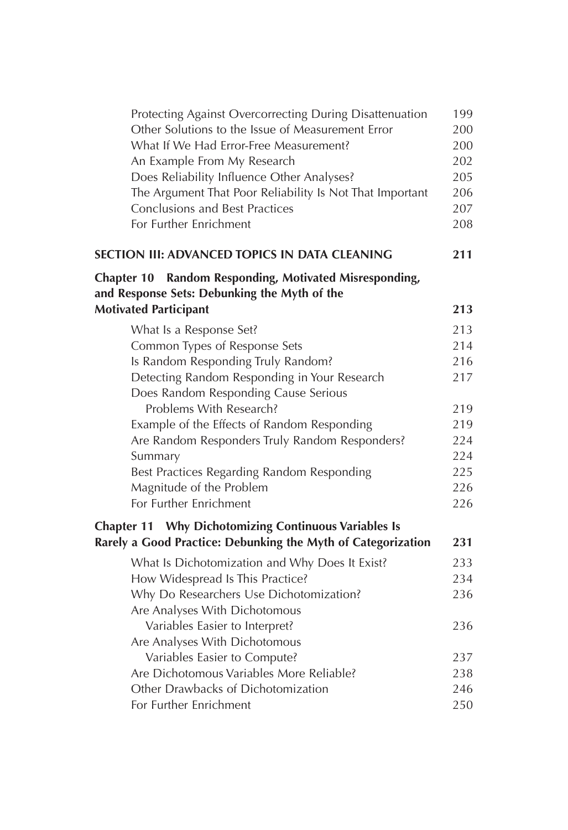| Protecting Against Overcorrecting During Disattenuation                      | 199 |
|------------------------------------------------------------------------------|-----|
| Other Solutions to the Issue of Measurement Error                            | 200 |
| What If We Had Error-Free Measurement?                                       | 200 |
| An Example From My Research                                                  | 202 |
| Does Reliability Influence Other Analyses?                                   | 205 |
| The Argument That Poor Reliability Is Not That Important                     | 206 |
| <b>Conclusions and Best Practices</b>                                        | 207 |
| For Further Enrichment                                                       | 208 |
| SECTION III: ADVANCED TOPICS IN DATA CLEANING                                | 211 |
| Chapter 10 Random Responding, Motivated Misresponding,                       |     |
| and Response Sets: Debunking the Myth of the<br><b>Motivated Participant</b> | 213 |
|                                                                              |     |
| What Is a Response Set?                                                      | 213 |
| Common Types of Response Sets                                                | 214 |
| Is Random Responding Truly Random?                                           | 216 |
| Detecting Random Responding in Your Research                                 | 217 |
| Does Random Responding Cause Serious                                         |     |
| Problems With Research?                                                      | 219 |
| Example of the Effects of Random Responding                                  | 219 |
| Are Random Responders Truly Random Responders?                               | 224 |
| Summary                                                                      | 224 |
| Best Practices Regarding Random Responding                                   | 225 |
| Magnitude of the Problem                                                     | 226 |
| For Further Enrichment                                                       | 226 |
| <b>Chapter 11 Why Dichotomizing Continuous Variables Is</b>                  |     |
| Rarely a Good Practice: Debunking the Myth of Categorization                 | 231 |
| What Is Dichotomization and Why Does It Exist?                               | 233 |
| How Widespread Is This Practice?                                             | 234 |
| Why Do Researchers Use Dichotomization?                                      | 236 |
| Are Analyses With Dichotomous                                                |     |
| Variables Easier to Interpret?                                               | 236 |
| Are Analyses With Dichotomous                                                |     |
| Variables Easier to Compute?                                                 | 237 |
| Are Dichotomous Variables More Reliable?                                     | 238 |
| Other Drawbacks of Dichotomization                                           | 246 |
| For Further Enrichment                                                       | 250 |